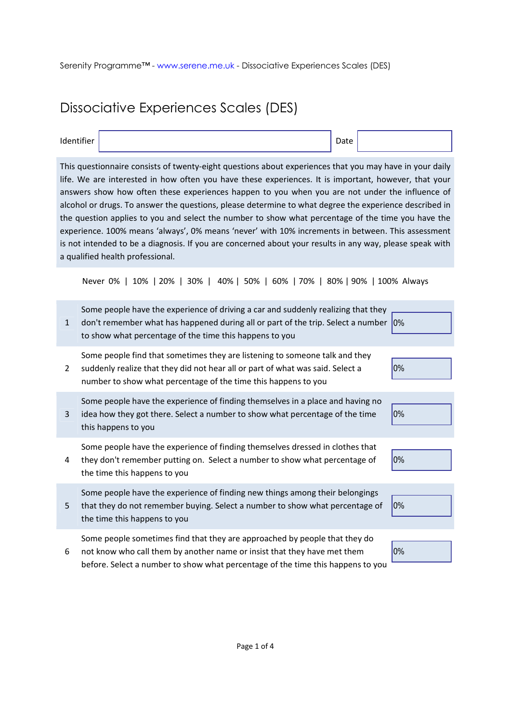## Dissociative Experiences Scales (DES)

| Identifier |  | Date |
|------------|--|------|
|------------|--|------|

This questionnaire consists of twenty-eight questions about experiences that you may have in your daily life. We are interested in how often you have these experiences. It is important, however, that your answers show how often these experiences happen to you when you are not under the influence of alcohol or drugs. To answer the questions, please determine to what degree the experience described in the question applies to you and select the number to show what percentage of the time you have the experience. 100% means 'always', 0% means 'never' with 10% increments in between. This assessment is not intended to be a diagnosis. If you are concerned about your results in any way, please speak with a qualified health professional.

Never 0% | 10% | 20% | 30% | 40% | 50% | 60% | 70% | 80% | 90% | 100% Always

| 1              | Some people have the experience of driving a car and suddenly realizing that they<br>don't remember what has happened during all or part of the trip. Select a number 0%<br>to show what percentage of the time this happens to you       |    |
|----------------|-------------------------------------------------------------------------------------------------------------------------------------------------------------------------------------------------------------------------------------------|----|
| $\overline{2}$ | Some people find that sometimes they are listening to someone talk and they<br>suddenly realize that they did not hear all or part of what was said. Select a<br>number to show what percentage of the time this happens to you           | 0% |
| 3              | Some people have the experience of finding themselves in a place and having no<br>idea how they got there. Select a number to show what percentage of the time<br>this happens to you                                                     | 0% |
| 4              | Some people have the experience of finding themselves dressed in clothes that<br>they don't remember putting on. Select a number to show what percentage of<br>the time this happens to you                                               | 0% |
| 5              | Some people have the experience of finding new things among their belongings<br>that they do not remember buying. Select a number to show what percentage of<br>the time this happens to you                                              | 0% |
| 6              | Some people sometimes find that they are approached by people that they do<br>not know who call them by another name or insist that they have met them<br>before. Select a number to show what percentage of the time this happens to you | 0% |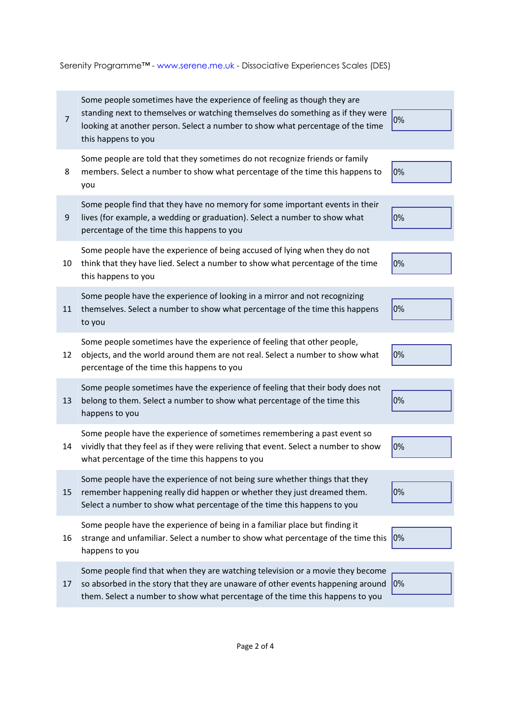Serenity Programme™ - www.serene.me.uk - Dissociative Experiences Scales (DES)

| $\overline{7}$ | Some people sometimes have the experience of feeling as though they are<br>standing next to themselves or watching themselves do something as if they were<br>looking at another person. Select a number to show what percentage of the time<br>this happens to you | 0% |
|----------------|---------------------------------------------------------------------------------------------------------------------------------------------------------------------------------------------------------------------------------------------------------------------|----|
| 8              | Some people are told that they sometimes do not recognize friends or family<br>members. Select a number to show what percentage of the time this happens to<br>you                                                                                                  | 0% |
| 9              | Some people find that they have no memory for some important events in their<br>lives (for example, a wedding or graduation). Select a number to show what<br>percentage of the time this happens to you                                                            | 0% |
| 10             | Some people have the experience of being accused of lying when they do not<br>think that they have lied. Select a number to show what percentage of the time<br>this happens to you                                                                                 | 0% |
| 11             | Some people have the experience of looking in a mirror and not recognizing<br>themselves. Select a number to show what percentage of the time this happens<br>to you                                                                                                | 0% |
| 12             | Some people sometimes have the experience of feeling that other people,<br>objects, and the world around them are not real. Select a number to show what<br>percentage of the time this happens to you                                                              | 0% |
| 13             | Some people sometimes have the experience of feeling that their body does not<br>belong to them. Select a number to show what percentage of the time this<br>happens to you                                                                                         | 0% |
| 14             | Some people have the experience of sometimes remembering a past event so<br>vividly that they feel as if they were reliving that event. Select a number to show<br>what percentage of the time this happens to you                                                  | 0% |
| 15             | Some people have the experience of not being sure whether things that they<br>remember happening really did happen or whether they just dreamed them.<br>Select a number to show what percentage of the time this happens to you                                    | 0% |
| 16             | Some people have the experience of being in a familiar place but finding it<br>strange and unfamiliar. Select a number to show what percentage of the time this<br>happens to you                                                                                   | 0% |
| 17             | Some people find that when they are watching television or a movie they become<br>so absorbed in the story that they are unaware of other events happening around<br>them. Select a number to show what percentage of the time this happens to you                  | 0% |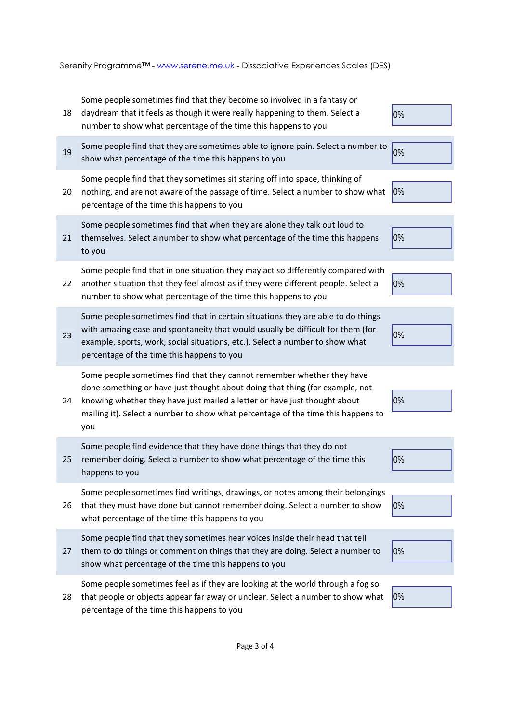Serenity Programme™ - www.serene.me.uk - Dissociative Experiences Scales (DES)

| 18 | Some people sometimes find that they become so involved in a fantasy or<br>daydream that it feels as though it were really happening to them. Select a<br>number to show what percentage of the time this happens to you                                                                                                       | 0% |
|----|--------------------------------------------------------------------------------------------------------------------------------------------------------------------------------------------------------------------------------------------------------------------------------------------------------------------------------|----|
| 19 | Some people find that they are sometimes able to ignore pain. Select a number to<br>show what percentage of the time this happens to you                                                                                                                                                                                       | 0% |
| 20 | Some people find that they sometimes sit staring off into space, thinking of<br>nothing, and are not aware of the passage of time. Select a number to show what<br>percentage of the time this happens to you                                                                                                                  | 0% |
| 21 | Some people sometimes find that when they are alone they talk out loud to<br>themselves. Select a number to show what percentage of the time this happens<br>to you                                                                                                                                                            | 0% |
| 22 | Some people find that in one situation they may act so differently compared with<br>another situation that they feel almost as if they were different people. Select a<br>number to show what percentage of the time this happens to you                                                                                       | 0% |
| 23 | Some people sometimes find that in certain situations they are able to do things<br>with amazing ease and spontaneity that would usually be difficult for them (for<br>example, sports, work, social situations, etc.). Select a number to show what<br>percentage of the time this happens to you                             | 0% |
| 24 | Some people sometimes find that they cannot remember whether they have<br>done something or have just thought about doing that thing (for example, not<br>knowing whether they have just mailed a letter or have just thought about<br>mailing it). Select a number to show what percentage of the time this happens to<br>you | 0% |
| 25 | Some people find evidence that they have done things that they do not<br>remember doing. Select a number to show what percentage of the time this<br>happens to you                                                                                                                                                            | 0% |
| 26 | Some people sometimes find writings, drawings, or notes among their belongings<br>that they must have done but cannot remember doing. Select a number to show<br>what percentage of the time this happens to you                                                                                                               | 0% |
| 27 | Some people find that they sometimes hear voices inside their head that tell<br>them to do things or comment on things that they are doing. Select a number to<br>show what percentage of the time this happens to you                                                                                                         | 0% |
| 28 | Some people sometimes feel as if they are looking at the world through a fog so<br>that people or objects appear far away or unclear. Select a number to show what<br>percentage of the time this happens to you                                                                                                               | 0% |